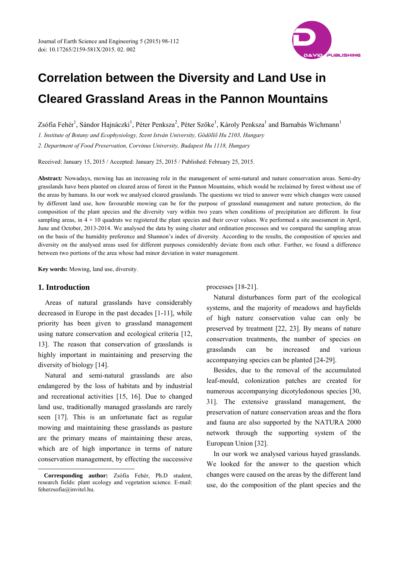

# **Correlation between the Diversity and Land Use in Cleared Grassland Areas in the Pannon Mountains**

Zsófia Fehér<sup>1</sup>, Sándor Hajnáczki<sup>1</sup>, Péter Penksza<sup>2</sup>, Péter Szőke<sup>1</sup>, Károly Penksza<sup>1</sup> and Barnabás Wichmann<sup>1</sup>

*1. Institute of Botany and Ecophysiology, Szent István University, Gödöllő Hu 2103, Hungary* 

*2. Department of Food Preservation, Corvinus University, Budapest Hu 1118, Hungary* 

Received: January 15, 2015 / Accepted: January 25, 2015 / Published: February 25, 2015.

**Abstract***:* Nowadays, mowing has an increasing role in the management of semi-natural and nature conservation areas. Semi-dry grasslands have been planted on cleared areas of forest in the Pannon Mountains, which would be reclaimed by forest without use of the areas by humans. In our work we analysed cleared grasslands. The questions we tried to answer were which changes were caused by different land use, how favourable mowing can be for the purpose of grassland management and nature protection, do the composition of the plant species and the diversity vary within two years when conditions of precipitation are different. In four sampling areas, in  $4 \times 10$  quadrats we registered the plant species and their cover values. We performed a site assessment in April, June and October, 2013-2014. We analysed the data by using cluster and ordination processes and we compared the sampling areas on the basis of the humidity preference and Shannon's index of diversity. According to the results, the composition of species and diversity on the analysed areas used for different purposes considerably deviate from each other. Further, we found a difference between two portions of the area whose had minor deviation in water management.

**Key words:** Mowing, land use, diversity.

#### **1. Introduction**

 $\overline{\phantom{a}}$ 

Areas of natural grasslands have considerably decreased in Europe in the past decades [1-11], while priority has been given to grassland management using nature conservation and ecological criteria [12, 13]. The reason that conservation of grasslands is highly important in maintaining and preserving the diversity of biology [14].

Natural and semi-natural grasslands are also endangered by the loss of habitats and by industrial and recreational activities [15, 16]. Due to changed land use, traditionally managed grasslands are rarely seen [17]. This is an unfortunate fact as regular mowing and maintaining these grasslands as pasture are the primary means of maintaining these areas, which are of high importance in terms of nature conservation management, by effecting the successive processes [18-21].

Natural disturbances form part of the ecological systems, and the majority of meadows and hayfields of high nature conservation value can only be preserved by treatment [22, 23]. By means of nature conservation treatments, the number of species on grasslands can be increased and various accompanying species can be planted [24-29].

Besides, due to the removal of the accumulated leaf-mould, colonization patches are created for numerous accompanying dicotyledonous species [30, 31]. The extensive grassland management, the preservation of nature conservation areas and the flora and fauna are also supported by the NATURA 2000 network through the supporting system of the European Union [32].

In our work we analysed various hayed grasslands. We looked for the answer to the question which changes were caused on the areas by the different land use, do the composition of the plant species and the

**Corresponding author:** Zsófia Fehér, Ph.D student, research fields: plant ecology and vegetation science. E-mail: feherzsofia@invitel.hu.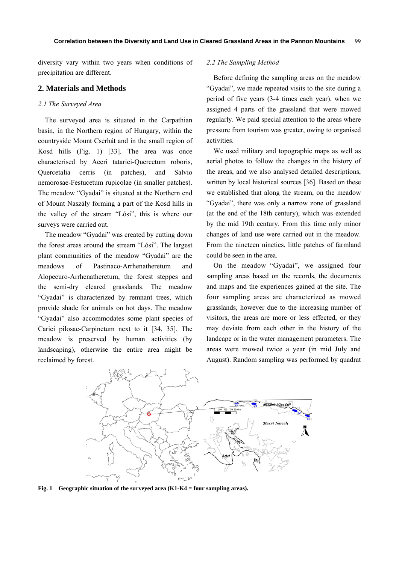diversity vary within two years when conditions of precipitation are different.

## **2. Materials and Methods**

#### *2.1 The Surveyed Area*

The surveyed area is situated in the Carpathian basin, in the Northern region of Hungary, within the countryside Mount Cserhát and in the small region of Kosd hills (Fig. 1) [33]. The area was once characterised by Aceri tatarici-Quercetum roboris, Quercetalia cerris (in patches), and Salvio nemorosae-Festucetum rupicolae (in smaller patches). The meadow "Gyadai" is situated at the Northern end of Mount Naszály forming a part of the Kosd hills in the valley of the stream "Lósi", this is where our surveys were carried out.

The meadow "Gyadai" was created by cutting down the forest areas around the stream "Lósi". The largest plant communities of the meadow "Gyadai" are the meadows of Pastinaco-Arrhenatheretum and Alopecuro-Arrhenatheretum, the forest steppes and the semi-dry cleared grasslands. The meadow "Gyadai" is characterized by remnant trees, which provide shade for animals on hot days. The meadow "Gyadai" also accommodates some plant species of Carici pilosae-Carpinetum next to it [34, 35]. The meadow is preserved by human activities (by landscaping), otherwise the entire area might be reclaimed by forest.

#### *2.2 The Sampling Method*

Before defining the sampling areas on the meadow "Gyadai", we made repeated visits to the site during a period of five years (3-4 times each year), when we assigned 4 parts of the grassland that were mowed regularly. We paid special attention to the areas where pressure from tourism was greater, owing to organised activities.

We used military and topographic maps as well as aerial photos to follow the changes in the history of the areas, and we also analysed detailed descriptions, written by local historical sources [36]. Based on these we established that along the stream, on the meadow "Gyadai", there was only a narrow zone of grassland (at the end of the 18th century), which was extended by the mid 19th century. From this time only minor changes of land use were carried out in the meadow. From the nineteen nineties, little patches of farmland could be seen in the area.

On the meadow "Gyadai", we assigned four sampling areas based on the records, the documents and maps and the experiences gained at the site. The four sampling areas are characterized as mowed grasslands, however due to the increasing number of visitors, the areas are more or less effected, or they may deviate from each other in the history of the landcape or in the water management parameters. The areas were mowed twice a year (in mid July and August). Random sampling was performed by quadrat



**Fig. 1 Geographic situation of the surveyed area (K1-K4 = four sampling areas).**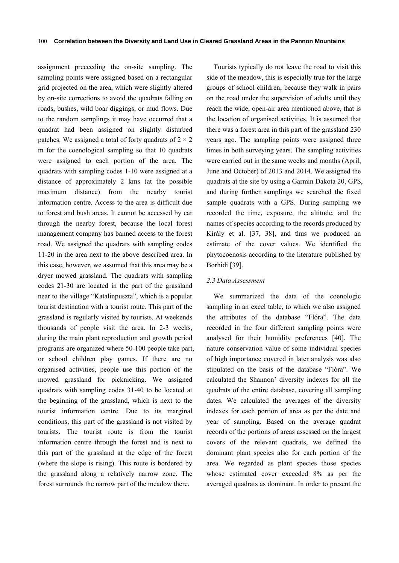assignment preceeding the on-site sampling. The sampling points were assigned based on a rectangular grid projected on the area, which were slightly altered by on-site corrections to avoid the quadrats falling on roads, bushes, wild boar diggings, or mud flows. Due to the random samplings it may have occurred that a quadrat had been assigned on slightly disturbed patches. We assigned a total of forty quadrats of  $2 \times 2$ m for the coenological sampling so that 10 quadrats were assigned to each portion of the area. The quadrats with sampling codes 1-10 were assigned at a distance of approximately 2 kms (at the possible maximum distance) from the nearby tourist information centre. Access to the area is difficult due to forest and bush areas. It cannot be accessed by car through the nearby forest, because the local forest management company has banned access to the forest road. We assigned the quadrats with sampling codes 11-20 in the area next to the above described area. In this case, however, we assumed that this area may be a dryer mowed grassland. The quadrats with sampling codes 21-30 are located in the part of the grassland near to the village "Katalinpuszta", which is a popular tourist destination with a tourist route. This part of the grassland is regularly visited by tourists. At weekends thousands of people visit the area. In 2-3 weeks, during the main plant reproduction and growth period programs are organized where 50-100 people take part, or school children play games. If there are no organised activities, people use this portion of the mowed grassland for picknicking. We assigned quadrats with sampling codes 31-40 to be located at the beginning of the grassland, which is next to the tourist information centre. Due to its marginal conditions, this part of the grassland is not visited by tourists. The tourist route is from the tourist information centre through the forest and is next to this part of the grassland at the edge of the forest (where the slope is rising). This route is bordered by the grassland along a relatively narrow zone. The forest surrounds the narrow part of the meadow there.

Tourists typically do not leave the road to visit this side of the meadow, this is especially true for the large groups of school children, because they walk in pairs on the road under the supervision of adults until they reach the wide, open-air area mentioned above, that is the location of organised activities. It is assumed that there was a forest area in this part of the grassland 230 years ago. The sampling points were assigned three times in both surveying years. The sampling activities were carried out in the same weeks and months (April, June and October) of 2013 and 2014. We assigned the quadrats at the site by using a Garmin Dakota 20, GPS, and during further samplings we searched the fixed sample quadrats with a GPS. During sampling we recorded the time, exposure, the altitude, and the names of species according to the records produced by Király et al. [37, 38], and thus we produced an estimate of the cover values. We identified the phytocoenosis according to the literature published by Borhidi [39].

## *2.3 Data Assessment*

We summarized the data of the coenologic sampling in an excel table, to which we also assigned the attributes of the database "Flóra". The data recorded in the four different sampling points were analysed for their humidity preferences [40]. The nature conservation value of some individual species of high importance covered in later analysis was also stipulated on the basis of the database "Flóra". We calculated the Shannon' diversity indexes for all the quadrats of the entire database, covering all sampling dates. We calculated the averages of the diversity indexes for each portion of area as per the date and year of sampling. Based on the average quadrat records of the portions of areas assessed on the largest covers of the relevant quadrats, we defined the dominant plant species also for each portion of the area. We regarded as plant species those species whose estimated cover exceeded 8% as per the averaged quadrats as dominant. In order to present the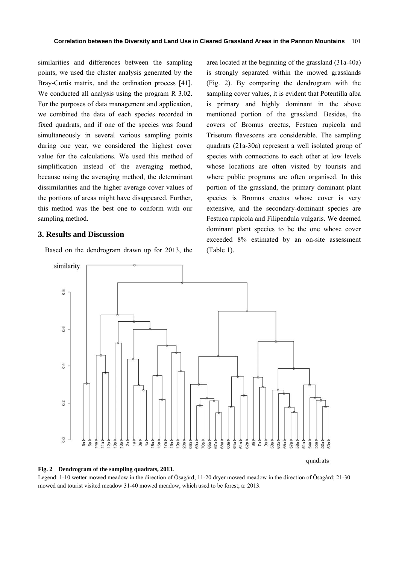similarities and differences between the sampling points, we used the cluster analysis generated by the Bray-Curtis matrix, and the ordination process [41]. We conducted all analysis using the program R 3.02. For the purposes of data management and application, we combined the data of each species recorded in fixed quadrats, and if one of the species was found simultaneously in several various sampling points during one year, we considered the highest cover value for the calculations. We used this method of simplification instead of the averaging method, because using the averaging method, the determinant dissimilarities and the higher average cover values of the portions of areas might have disappeared. Further, this method was the best one to conform with our sampling method.

## **3. Results and Discussion**

Based on the dendrogram drawn up for 2013, the

area located at the beginning of the grassland (31a-40a) is strongly separated within the mowed grasslands (Fig. 2). By comparing the dendrogram with the sampling cover values, it is evident that Potentilla alba is primary and highly dominant in the above mentioned portion of the grassland. Besides, the covers of Bromus erectus, Festuca rupicola and Trisetum flavescens are considerable. The sampling quadrats (21a-30a) represent a well isolated group of species with connections to each other at low levels whose locations are often visited by tourists and where public programs are often organised. In this portion of the grassland, the primary dominant plant species is Bromus erectus whose cover is very extensive, and the secondary-dominant species are Festuca rupicola and Filipendula vulgaris. We deemed dominant plant species to be the one whose cover exceeded 8% estimated by an on-site assessment (Table 1).



#### **Fig. 2 Dendrogram of the sampling quadrats, 2013.**

Legend: 1-10 wetter mowed meadow in the direction of Ősagárd; 11-20 dryer mowed meadow in the direction of Ősagárd; 21-30 mowed and tourist visited meadow 31-40 mowed meadow, which used to be forest; a: 2013.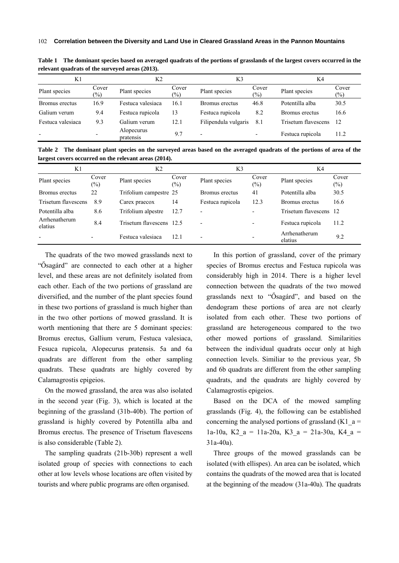| K1                       |                 | K2                      |                        | K3                       |                          | K4                  |                 |
|--------------------------|-----------------|-------------------------|------------------------|--------------------------|--------------------------|---------------------|-----------------|
| Plant species            | Cover<br>$(\%)$ | Plant species           | Cover<br>$\frac{1}{2}$ | Plant species            | Cover<br>$(\%)$          | Plant species       | Cover<br>$(\%)$ |
| Bromus erectus           | 16.9            | Festuca valesiaca       | 16.1                   | Bromus erectus           | 46.8                     | Potentilla alba     | 30.5            |
| Galium verum             | 9.4             | Festuca rupicola        | 13                     | Festuca rupicola         | 8.2                      | Bromus erectus      | 16.6            |
| Festuca valesiaca        | 9.3             | Galium verum            | 12.1                   | Filipendula vulgaris     | 8.1                      | Trisetum flavescens | 12              |
| $\overline{\phantom{a}}$ |                 | Alopecurus<br>pratensis | 9.7                    | $\overline{\phantom{0}}$ | $\overline{\phantom{a}}$ | Festuca rupicola    | 11.2            |

**Table 1 The dominant species based on averaged quadrats of the portions of grasslands of the largest covers occurred in the relevant quadrats of the surveyed areas (2013).** 

**Table 2 The dominant plant species on the surveyed areas based on the averaged quadrats of the portions of area of the largest covers occurred on the relevant areas (2014).** 

| K1                       |                          | K2                       |                         | K3                       |                          | K4                       |                 |
|--------------------------|--------------------------|--------------------------|-------------------------|--------------------------|--------------------------|--------------------------|-----------------|
| Plant species            | Cover<br>$(\%)$          | Plant species            | Cover<br>$\binom{0}{0}$ | Plant species            | Cover<br>$(\%)$          | Plant species            | Cover<br>$(\%)$ |
| Bromus erectus           | 22                       | Trifolium campestre 25   |                         | Bromus erectus           | 41                       | Potentilla alba          | 30.5            |
| Trisetum flavescens      | 8.9                      | Carex praecox            | 14                      | Festuca rupicola         | 12.3                     | Bromus erectus           | 16.6            |
| Potentilla alba          | 8.6                      | Trifolium alpestre       | 12.7                    | $\overline{\phantom{0}}$ |                          | Trisetum flavescens 12   |                 |
| Arrhenatherum<br>elatius | 8.4                      | Trisetum flavescens 12.5 |                         | $\overline{\phantom{0}}$ | $\overline{\phantom{0}}$ | Festuca rupicola         | 11.2            |
| $\overline{\phantom{a}}$ | $\overline{\phantom{a}}$ | Festuca valesiaca        | 12.1                    | $\overline{\phantom{0}}$ | $\overline{\phantom{0}}$ | Arrhenatherum<br>elatius | 9.2             |

The quadrats of the two mowed grasslands next to "Ősagárd" are connected to each other at a higher level, and these areas are not definitely isolated from each other. Each of the two portions of grassland are diversified, and the number of the plant species found in these two portions of grassland is much higher than in the two other portions of mowed grassland. It is worth mentioning that there are 5 dominant species: Bromus erectus, Gallium verum, Festuca valesiaca, Fesuca rupicola, Alopecurus pratensis. 5a and 6a quadrats are different from the other sampling quadrats. These quadrats are highly covered by Calamagrostis epigeios.

On the mowed grassland, the area was also isolated in the second year (Fig. 3), which is located at the beginning of the grassland (31b-40b). The portion of grassland is highly covered by Potentilla alba and Bromus erectus. The presence of Trisetum flavescens is also considerable (Table 2).

The sampling quadrats (21b-30b) represent a well isolated group of species with connections to each other at low levels whose locations are often visited by tourists and where public programs are often organised.

In this portion of grassland, cover of the primary species of Bromus erectus and Festuca rupicola was considerably high in 2014. There is a higher level connection between the quadrats of the two mowed grasslands next to "Ősagárd", and based on the dendogram these portions of area are not clearly isolated from each other. These two portions of grassland are heterogeneous compared to the two other mowed portions of grassland. Similarities between the individual quadrats occur only at high connection levels. Similiar to the previous year, 5b and 6b quadrats are different from the other sampling quadrats, and the quadrats are highly covered by Calamagrostis epigeios.

Based on the DCA of the mowed sampling grasslands (Fig. 4), the following can be established concerning the analysed portions of grassland (K1\_a = 1a-10a, K2 a = 11a-20a, K3 a = 21a-30a, K4 a = 31a-40a).

Three groups of the mowed grasslands can be isolated (with ellispes). An area can be isolated, which contains the quadrats of the mowed area that is located at the beginning of the meadow (31a-40a). The quadrats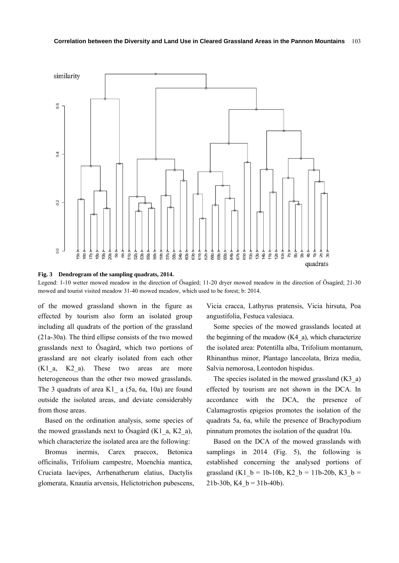



Legend: 1-10 wetter mowed meadow in the direction of Ősagárd; 11-20 dryer mowed meadow in the direction of Ősagárd; 21-30 mowed and tourist visited meadow 31-40 mowed meadow, which used to be forest; b: 2014.

of the mowed grassland shown in the figure as effected by tourism also form an isolated group including all quadrats of the portion of the grassland (21a-30a). The third ellipse consists of the two mowed grasslands next to Ősagárd, which two portions of grassland are not clearly isolated from each other  $(K1_a, K2_a)$ . These two areas are more heterogeneous than the other two mowed grasslands. The 3 quadrats of area K1 $\alpha$  a (5a, 6a, 10a) are found outside the isolated areas, and deviate considerably from those areas.

Based on the ordination analysis, some species of the mowed grasslands next to Ősagárd (K1\_a, K2\_a), which characterize the isolated area are the following:

Bromus inermis, Carex praecox, Betonica officinalis, Trifolium campestre, Moenchia mantica, Cruciata laevipes, Arrhenatherum elatius, Dactylis glomerata, Knautia arvensis, Helictotrichon pubescens, Vicia cracca, Lathyrus pratensis, Vicia hirsuta, Poa angustifolia, Festuca valesiaca.

Some species of the mowed grasslands located at the beginning of the meadow  $(K4\ a)$ , which characterize the isolated area: Potentilla alba, Trifolium montanum, Rhinanthus minor, Plantago lanceolata, Briza media, Salvia nemorosa, Leontodon hispidus.

The species isolated in the mowed grassland (K3\_a) effected by tourism are not shown in the DCA. In accordance with the DCA, the presence of Calamagrostis epigeios promotes the isolation of the quadrats 5a, 6a, while the presence of Brachypodium pinnatum promotes the isolation of the quadrat 10a.

Based on the DCA of the mowed grasslands with samplings in 2014 (Fig. 5), the following is established concerning the analysed portions of grassland (K1  $b = 1b-10b$ , K2  $b = 11b-20b$ , K3  $b =$ 21b-30b, K4  $b = 31b-40b$ ).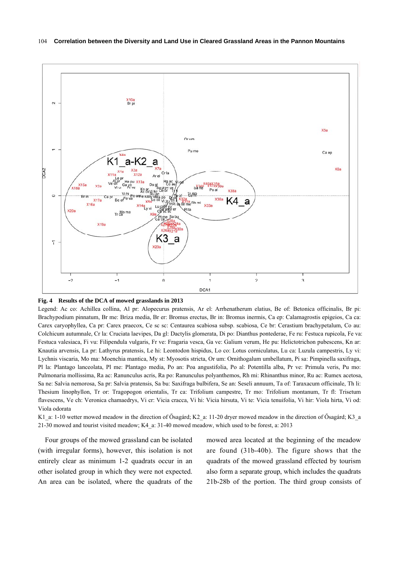

#### **Fig. 4 Results of the DCA of mowed grasslands in 2013**

Legend: Ac co: Achillea collina, Al pr: Alopecurus pratensis, Ar el: Arrhenatherum elatius, Be of: Betonica officinalis, Br pi: Brachypodium pinnatum, Br me: Briza media, Br er: Bromus erectus, Br in: Bromus inermis, Ca ep: Calamagrostis epigeios, Ca ca: Carex caryophyllea, Ca pr: Carex praecox, Ce sc sc: Centaurea scabiosa subsp. scabiosa, Ce br: Cerastium brachypetalum, Co au: Colchicum autumnale, Cr la: Cruciata laevipes, Da gl: Dactylis glomerata, Di po: Dianthus pontederae, Fe ru: Festuca rupicola, Fe va: Festuca valesiaca, Fi vu: Filipendula vulgaris, Fr ve: Fragaria vesca, Ga ve: Galium verum, He pu: Helictotrichon pubescens, Kn ar: Knautia arvensis, La pr: Lathyrus pratensis, Le hi: Leontodon hispidus, Lo co: Lotus corniculatus, Lu ca: Luzula campestris, Ly vi: Lychnis viscaria, Mo ma: Moenchia mantica, My st: Myosotis stricta, Or um: Ornithogalum umbellatum, Pi sa: Pimpinella saxifraga, Pl la: Plantago lanceolata, Pl me: Plantago media, Po an: Poa angustifolia, Po al: Potentilla alba, Pr ve: Primula veris, Pu mo: Pulmonaria mollissima, Ra ac: Ranunculus acris, Ra po: Ranunculus polyanthemos, Rh mi: Rhinanthus minor, Ru ac: Rumex acetosa, Sa ne: Salvia nemorosa, Sa pr: Salvia pratensis, Sa bu: Saxifraga bulbifera, Se an: Seseli annuum, Ta of: Taraxacum officinale, Th li: Thesium linophyllon, Tr or: Tragopogon orientalis, Tr ca: Trifolium campestre, Tr mo: Trifolium montanum, Tr fl: Trisetum flavescens, Ve ch: Veronica chamaedrys, Vi cr: Vicia cracca, Vi hi: Vicia hirsuta, Vi te: Vicia tenuifolia, Vi hir: Viola hirta, Vi od: Viola odorata

K1\_a: 1-10 wetter mowed meadow in the direction of Ősagárd; K2\_a: 11-20 dryer mowed meadow in the direction of Ősagárd; K3\_a 21-30 mowed and tourist visited meadow; K4\_a: 31-40 mowed meadow, which used to be forest, a: 2013

Four groups of the mowed grassland can be isolated (with irregular forms), however, this isolation is not entirely clear as minimum 1-2 quadrats occur in an other isolated group in which they were not expected. An area can be isolated, where the quadrats of the mowed area located at the beginning of the meadow are found (31b-40b). The figure shows that the quadrats of the mowed grassland effected by tourism also form a separate group, which includes the quadrats 21b-28b of the portion. The third group consists of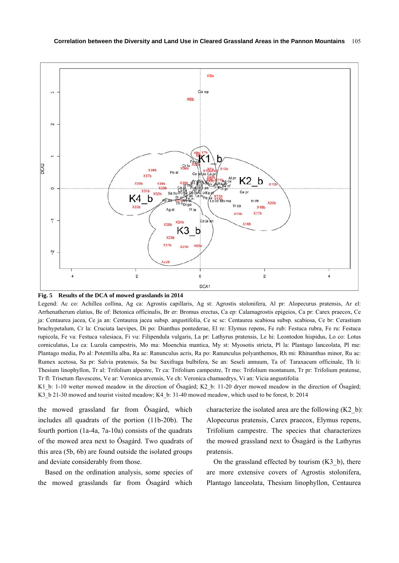



Legend: Ac co: Achillea collina, Ag ca: Agrostis capillaris, Ag st: Agrostis stolonifera, Al pr: Alopecurus pratensis, Ar el: Arrhenatherum elatius, Be of: Betonica officinalis, Br er: Bromus erectus, Ca ep: Calamagrostis epigeios, Ca pr: Carex praecox, Ce ja: Centaurea jacea, Ce ja an: Centaurea jacea subsp. angustifolia, Ce sc sc: Centaurea scabiosa subsp. scabiosa, Ce br: Cerastium brachypetalum, Cr la: Cruciata laevipes, Di po: Dianthus pontederae, El re: Elymus repens, Fe rub: Festuca rubra, Fe ru: Festuca rupicola, Fe va: Festuca valesiaca, Fi vu: Filipendula vulgaris, La pr: Lathyrus pratensis, Le hi: Leontodon hispidus, Lo co: Lotus corniculatus, Lu ca: Luzula campestris, Mo ma: Moenchia mantica, My st: Myosotis stricta, Pl la: Plantago lanceolata, Pl me: Plantago media, Po al: Potentilla alba, Ra ac: Ranunculus acris, Ra po: Ranunculus polyanthemos, Rh mi: Rhinanthus minor, Ru ac: Rumex acetosa, Sa pr: Salvia pratensis, Sa bu: Saxifraga bulbifera, Se an: Seseli annuum, Ta of: Taraxacum officinale, Th li: Thesium linophyllon, Tr al: Trifolium alpestre, Tr ca: Trifolium campestre, Tr mo: Trifolium montanum, Tr pr: Trifolium pratense, Tr fl: Trisetum flavescens, Ve ar: Veronica arvensis, Ve ch: Veronica chamaedrys, Vi an: Vicia angustifolia

K1 b: 1-10 wetter mowed meadow in the direction of Ősagárd; K2 b: 11-20 dryer mowed meadow in the direction of Ősagárd; K3\_b 21-30 mowed and tourist visited meadow; K4\_b: 31-40 mowed meadow, which used to be forest, b: 2014

the mowed grassland far from Ősagárd, which includes all quadrats of the portion (11b-20b). The fourth portion (1a-4a, 7a-10a) consists of the quadrats of the mowed area next to Ősagárd. Two quadrats of this area (5b, 6b) are found outside the isolated groups and deviate considerably from those.

Based on the ordination analysis, some species of the mowed grasslands far from Ősagárd which

characterize the isolated area are the following  $(K2 b)$ : Alopecurus pratensis, Carex praecox, Elymus repens, Trifolium campestre. The species that characterizes the mowed grassland next to Ősagárd is the Lathyrus pratensis.

On the grassland effected by tourism  $(K3\ b)$ , there are more extensive covers of Agrostis stolonifera, Plantago lanceolata, Thesium linophyllon, Centaurea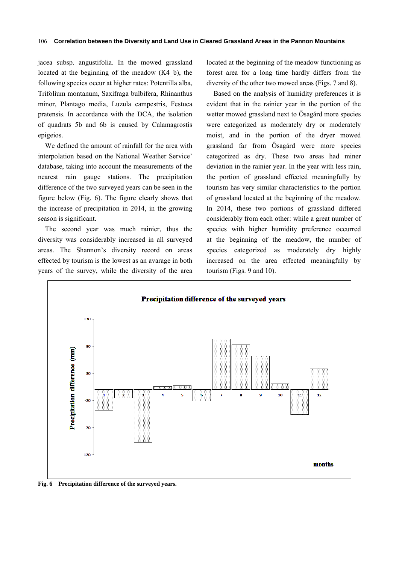jacea subsp. angustifolia. In the mowed grassland located at the beginning of the meadow (K4\_b), the following species occur at higher rates: Potentilla alba, Trifolium montanum, Saxifraga bulbifera, Rhinanthus minor, Plantago media, Luzula campestris, Festuca pratensis. In accordance with the DCA, the isolation of quadrats 5b and 6b is caused by Calamagrostis epigeios.

We defined the amount of rainfall for the area with interpolation based on the National Weather Service' database, taking into account the measurements of the nearest rain gauge stations. The precipitation difference of the two surveyed years can be seen in the figure below (Fig. 6). The figure clearly shows that the increase of precipitation in 2014, in the growing season is significant.

The second year was much rainier, thus the diversity was considerably increased in all surveyed areas. The Shannon's diversity record on areas effected by tourism is the lowest as an avarage in both years of the survey, while the diversity of the area located at the beginning of the meadow functioning as forest area for a long time hardly differs from the diversity of the other two mowed areas (Figs. 7 and 8).

Based on the analysis of humidity preferences it is evident that in the rainier year in the portion of the wetter mowed grassland next to Ősagárd more species were categorized as moderately dry or moderately moist, and in the portion of the dryer mowed grassland far from Ősagárd were more species categorized as dry. These two areas had miner deviation in the rainier year. In the year with less rain, the portion of grassland effected meaningfully by tourism has very similar characteristics to the portion of grassland located at the beginning of the meadow. In 2014, these two portions of grassland differed considerably from each other: while a great number of species with higher humidity preference occurred at the beginning of the meadow, the number of species categorized as moderately dry highly increased on the area effected meaningfully by tourism (Figs. 9 and 10).



**Fig. 6 Precipitation difference of the surveyed years.**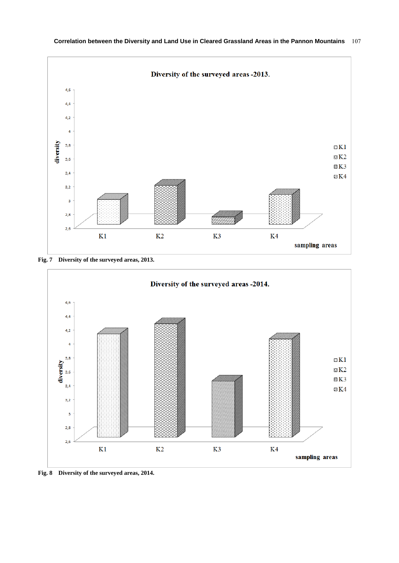

**Fig. 7 Diversity of the surveyed areas, 2013.** 



**Fig. 8 Diversity of the surveyed areas, 2014.**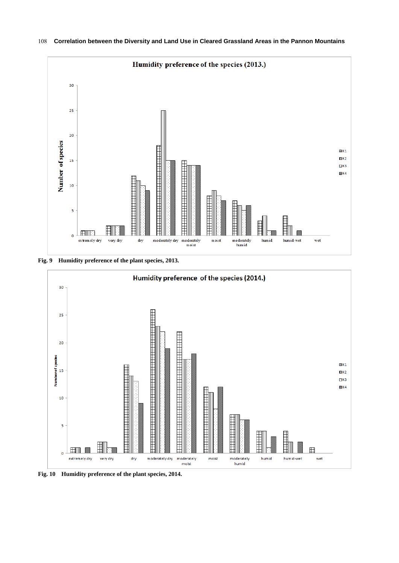

**Correlation between the Diversity and Land Use in Cleared Grassland Areas in the Pannon Mountains**  108

**Fig. 9 Humidity preference of the plant species, 2013.** 



**Fig. 10 Humidity preference of the plant species, 2014.**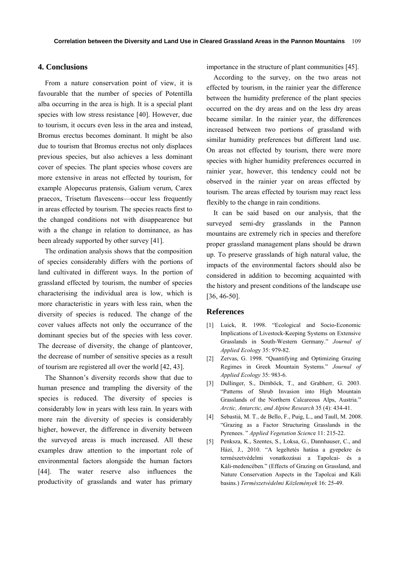#### **4. Conclusions**

From a nature conservation point of view, it is favourable that the number of species of Potentilla alba occurring in the area is high. It is a special plant species with low stress resistance [40]. However, due to tourism, it occurs even less in the area and instead, Bromus erectus becomes dominant. It might be also due to tourism that Bromus erectus not only displaces previous species, but also achieves a less dominant cover of species. The plant species whose covers are more extensive in areas not effected by tourism, for example Alopecurus pratensis, Galium verum, Carex praecox, Trisetum flavescens—occur less frequently in areas effected by tourism. The species reacts first to the changed conditions not with disappearence but with a the change in relation to dominance, as has been already supported by other survey [41].

The ordination analysis shows that the composition of species considerably differs with the portions of land cultivated in different ways. In the portion of grassland effected by tourism, the number of species characterising the individual area is low, which is more characteristic in years with less rain, when the diversity of species is reduced. The change of the cover values affects not only the occurrance of the dominant species but of the species with less cover. The decrease of diversity, the change of plantcover, the decrease of number of sensitive species as a result of tourism are registered all over the world [42, 43].

The Shannon's diversity records show that due to human presence and trampling the diversity of the species is reduced. The diversity of species is considerably low in years with less rain. In years with more rain the diversity of species is considerably higher, however, the difference in diversity between the surveyed areas is much increased. All these examples draw attention to the important role of environmental factors alongside the human factors [44]. The water reserve also influences the productivity of grasslands and water has primary

importance in the structure of plant communities [45].

According to the survey, on the two areas not effected by tourism, in the rainier year the difference between the humidity preference of the plant species occurred on the dry areas and on the less dry areas became similar. In the rainier year, the differences increased between two portions of grassland with similar humidity preferences but different land use. On areas not effected by tourism, there were more species with higher humidity preferences occurred in rainier year, however, this tendency could not be observed in the rainier year on areas effected by tourism. The areas effected by tourism may react less flexibly to the change in rain conditions.

It can be said based on our analysis, that the surveyed semi-dry grasslands in the Pannon mountains are extremely rich in species and therefore proper grassland management plans should be drawn up. To preserve grasslands of high natural value, the impacts of the environmental factors should also be considered in addition to becoming acquainted with the history and present conditions of the landscape use [36, 46-50].

#### **References**

- [1] Luick, R. 1998. "Ecological and Socio-Economic Implications of Livestock-Keeping Systems on Extensive Grasslands in South-Western Germany." *Journal of Applied Ecolog*y 35: 979-82.
- [2] Zervas, G. 1998. "Quantifying and Optimizing Grazing Regimes in Greek Mountain Systems." *Journal of Applied Ecology* 35: 983-6.
- [3] Dullinger, S., Dirnböck, T., and Grabherr, G. 2003. "Patterns of Shrub Invasion into High Mountain Grasslands of the Northern Calcareous Alps, Austria." *Arctic, Antarctic, and Alpine Research* 35 (4): 434-41.
- [4] Sebastià, M. T., de Bello, F., Puig, L., and Taull, M. 2008. "Grazing as a Factor Structuring Grasslands in the Pyrenees. " *Applied Vegetation Scienc*e 11: 215-22.
- [5] Penksza, K., Szentes, S., Loksa, G., Dannhauser, C., and Házi, J., 2010. "A legeltetés hatása a gyepekre és természetvédelmi vonatkozásai a Tapolcai- és a Káli-medencében." (Effects of Grazing on Grassland, and Nature Conservation Aspects in the Tapolcai and Káli basins.) *Természetvédelmi Közlemények* 16: 25-49.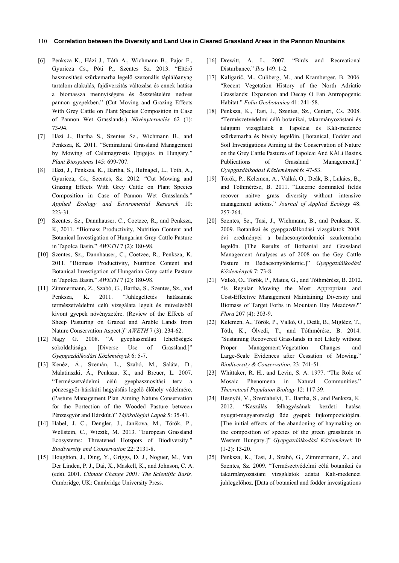#### **Correlation between the Diversity and Land Use in Cleared Grassland Areas in the Pannon Mountains**  110

- [6] Penksza K., Házi J., Tóth A., Wichmann B., Pajor F., Gyuricza Cs., Póti P., Szentes Sz. 2013. "Eltérő hasznosítású szürkemarha legelő szezonális táplálóanyag tartalom alakulás, fajdiverzitás változása és ennek hatása a biomassza mennyiségére és összetételére nedves pannon gyepekben." (Cut Moving and Grazing Effects With Grey Cattle on Plant Species Composition in Case of Pannon Wet Grasslands.) *Növénytermelés* 62 (1): 73-94.
- [7] Házi J., Bartha S., Szentes Sz., Wichmann B., and Penksza, K. 2011. "Seminatural Grassland Management by Mowing of Calamagrostis Epigejos in Hungary." *Plant Biosystems* 145: 699-707.
- [8] Házi, J., Penksza, K., Bartha, S., Hufnagel, L., Tóth, A., Gyuricza, Cs., Szentes, Sz. 2012. "Cut Mowing and Grazing Effects With Grey Cattle on Plant Species Composition in Case of Pannon Wet Grasslands." *Applied Ecology and Enviromental Research* 10: 223-31.
- [9] Szentes, Sz., Dannhauser, C., Coetzee, R., and Penksza, K, 2011. "Biomass Productivity, Nutrition Content and Botanical Investigation of Hungarian Grey Cattle Pasture in Tapolca Basin." *AWETH* 7 (2): 180-98.
- [10] Szentes, Sz., Dannhauser, C., Coetzee, R., Penksza, K. 2011. "Biomass Productivity, Nutrition Content and Botanical Investigation of Hungarian Grey cattle Pasture in Tapolca Basin." *AWETH* 7 (2): 180-98.
- [11] Zimmermann, Z., Szabó, G., Bartha, S., Szentes, Sz., and Penksza, K. 2011. "Juhlegeltetés hatásainak természetvédelmi célú vizsgálata legelt és művelésből kivont gyepek növényzetére. (Review of the Effects of Sheep Pasturing on Grazed and Arable Lands from Nature Conservation Aspect.)" *AWETH* 7 (3): 234-62.
- [12] Nagy G. 2008. "A gyephasználati lehetőségek sokoldalúsága. [Diverse Use of Grassland.]" *Gyepgazdálkodási Közlemények* 6: 5-7.
- [13] Kenéz, Á., Szemán, L., Szabó, M., Saláta, D., Malatinszki, Á., Penksza, K., and Breuer, L. 2007. "Természetvédelmi célú gyephasznosítási terv a pénzesgyőr-hárskúti hagyásfás legelő élőhely védelmére. (Pasture Management Plan Aiming Nature Conservation for the Portection of the Wooded Pasture between Pénzesgyőr and Hárskút.)" *Tájökológiai Lapok* 5: 35-41.
- [14] Habel, J. C., Dengler, J., Janišova, M., Török, P., Wellstein, C., Wiezik, M. 2013. "European Grassland Ecosystems: Threatened Hotspots of Biodiversity." *Biodiversity and Conservation* 22: 2131-8.
- [15] Houghton, J., Ding, Y., Griggs, D. J., Noguer, M., Van Der Linden, P. J., Dai, X., Maskell, K., and Johnson, C. A. (eds). 2001. *Climate Change 2001: The Scientific Basis.* Cambridge, UK: Cambridge University Press.
- [16] Drewitt, A. L. 2007. "Birds and Recreational Disturbance." *Ibis* 149: 1-2.
- [17] Kaligarič, M., Culiberg, M., and Kramberger, B. 2006. "Recent Vegetation History of the North Adriatic Grasslands: Expansion and Decay O Fan Antropogenic Habitat." *Folia Geobotanica* 41: 241-58.
- [18] Penksza, K., Tasi, J., Szentes, Sz., Centeri, Cs. 2008. "Természetvédelmi célú botanikai, takarmányozástani és talajtani vizsgálatok a Tapolcai és Káli-medence szürkemarha és bivaly legelőin. [Botanical, Fodder and Soil Investigations Aiming at the Conservation of Nature on the Grey Cattle Pastures of Tapolcai And KÁLi Basins. Publications of Grassland Management.]" *Gyepgazdálkodási Közlemények* 6: 47-53.
- [19] Török, P., Kelemen, A., Valkó, O., Deák, B., Lukács, B., and Tóthmérész, B. 2011. "Lucerne dominated fields recover naitve grass diversity without intensive management actions." *Journal of Applied Ecology* 48: 257-264.
- [20] Szentes, Sz., Tasi, J., Wichmann, B., and Penksza, K. 2009. Botanikai és gyepgazdálkodási vizsgálatok 2008. évi eredményei a badacsonytördemici szürkemarha legelőn. [The Results of Bothanial and Grassland Management Analyses as of 2008 on the Gey Cattle Pasture in Badacsonytördemic.]" *Gyepgazdálkodási Közlemények* 7: 73-8.
- [21] Valkó, O., Török, P., Matus, G., and Tóthmérész, B. 2012. "Is Regular Mowing the Most Appropriate and Cost-Effective Management Maintaining Diversity and Biomass of Target Forbs in Mountain Hay Meadows?" *Flora* 207 (4): 303-9.
- [22] Kelemen, A., Török, P., Valkó, O., Deák, B., Miglécz, T., Tóth, K., Ölvedi, T., and Tóthmérész, B. 2014. "Sustaining Recovered Grasslands in not Likely without Proper Management:Vegetation Changes and Large-Scale Evidences after Cessation of Mowing." *Biodiversity & Conservation.* 23: 741-51.
- [23] Whittaker, R. H., and Levin, S. A. 1977. "The Role of Mosaic Phenomena in Natural Communities." *Theoretical Populaion Biology* 12: 117-39.
- [24] Besnyői, V., Szerdahelyi, T., Bartha, S., and Penksza, K. 2012. "Kaszálás felhagyásának kezdeti hatása nyugat-magyarországi üde gyepek fajkompozíciójára. [The initial effects of the abandoning of haymaking on the composition of species of the green grasslands in Western Hungary.]" *Gyepgazdálkodási Közlemények* 10 (1-2): 13-20.
- [25] Penksza, K., Tasi, J., Szabó, G., Zimmermann, Z., and Szentes, Sz. 2009. "Természetvédelmi célú botanikai és takarmányozástani vizsgálatok adatai Káli-medencei juhlegelőhöz. [Data of botanical and fodder investigations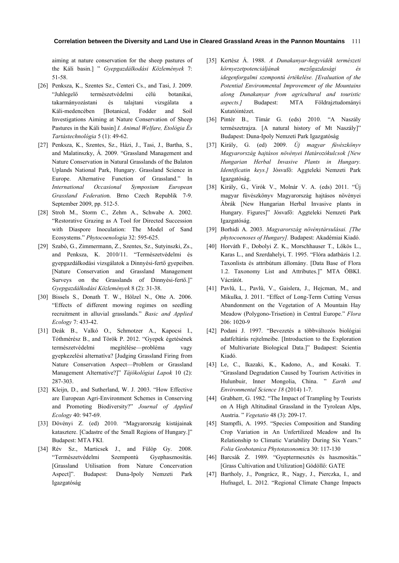aiming at nature conservation for the sheep pastures of the Káli basin.] " *Gyepgazdálkodási Közlemények* 7: 51-58.

- [26] Penksza, K., Szentes Sz., Centeri Cs., and Tasi, J. 2009. "Juhlegelő természetvédelmi célú botanikai, takarmányozástani és talajtani vizsgálata a Káli-medencében [Botanical, Fodder and Soil Investigations Aiming at Nature Conservation of Sheep Pastures in the Káli basin] *I. Animal Welfare, Etológia És Tartástechnológia* 5 (1): 49-62.
- [27] Penksza, K., Szentes, Sz., Házi, J., Tasi, J., Bartha, S., and Malatinszky, Á. 2009. "Grassland Management and Nature Conservation in Natural Grasslands of the Balaton Uplands National Park, Hungary. Grassland Science in Europe. Alternative Function of Grassland." In *International Occasional Symposium European Grassland Federatio*n. Brno Czech Republik 7-9. September 2009, pp. 512-5.
- [28] Stroh M., Storm C., Zehm A., Schwabe A. 2002. "Restorative Grazing as A Tool for Directed Succession with Diaspore Inoculation: The Model of Sand Ecosystems." *Phytocoenologia* 32: 595-625.
- [29] Szabó, G., Zimmermann, Z., Szentes, Sz., Sutyinszki, Zs., and Penksza, K. 2010/11. "Természetvédelmi és gyepgazdálkodási vizsgálatok a Dinnyési-fertő gyepeiben. [Nature Conservation and Grassland Management Surveys on the Grasslands of Dinnyési-fertő.]" *Gyepgazdálkodási Közlemények* 8 (2): 31-38.
- [30] Bissels S., Donath T. W., Hölzel N., Otte A. 2006. "Effects of different mowing regimes on seedling recruitment in alluvial grasslands." *Basic and Applied Ecology* 7: 433-42.
- [31] Deák B., Valkó O., Schmotzer A., Kapocsi I., Tóthmérész B., and Török P. 2012. "Gyepek égetésének természetvédelmi megítélése—probléma vagy gyepkezelési alternatíva? [Judging Grassland Firing from Nature Conservation Aspect—Problem or Grassland Management Alternative?]" *Tájökológiai Lapok* 10 (2): 287-303.
- [32] Kleijn, D., and Sutherland, W. J. 2003. "How Effective are European Agri-Environment Schemes in Conserving and Promoting Biodiversity?" *Journal of Applied Ecology* 40: 947-69.
- [33] Dövényi Z. (ed) 2010. "Magyarország kistájainak katasztere. [Cadastre of the Small Regions of Hungary.]" Budapest: MTA FKI.
- [34] Rév Sz., Marticsek J., and Fülöp Gy. 2008. "Természetvédelmi Szempontú Gyephasznosítás. [Grassland Utilisation from Nature Concervation Aspect]". Budapest: Duna-Ipoly Nemzeti Park Igazgatóság
- [35] Kertész Á. 1988. *A Dunakanyar-hegyvidék természeti környezetpotenciáljának mezőgazdasági és idegenforgalmi szempontú értékelése. [Evaluation of the Potential Environmental Improvement of the Mountains along Dunakanyar from agricultural and touristic aspects.]* Budapest: MTA Földrajztudományi Kutatóintézet.
- [36] Pintér B., Tímár G. (eds) 2010. "A Naszály természetrajza. [A natural history of Mt Naszály]" Budapest: Duna-Ipoly Nemzeti Park Igazgatóság
- [37] Király, G. (ed) 2009. *Új magyar füvészkönyv Magyarország hajtásos növényei Határozókulcsok [New Hungarian Herbal Invasive Plants in Hungary. Identificatin keys.]* Jósvafő: Aggteleki Nemzeti Park Igazgatóság.
- [38] Király, G., Virók V., Molnár V. A. (eds) 2011. "Új magyar füvészkönyv Magyarország hajtásos növényei Ábrák [New Hungarian Herbal Invasive plants in Hungary. Figures]" Jósvafő: Aggteleki Nemzeti Park Igazgatóság.
- [39] Borhidi A. 2003. *Magyarország növénytársulásai. [The phytocoenoses of Hungary].* Budapest: Akadémiai Kiadó.
- [40] Horváth F., Dobolyi Z. K., Morschhauser T., Lőkös L., Karas L., and Szerdahelyi, T. 1995. "Flóra adatbázis 1.2. Taxonlista és attribútum állomány. [Data Base of Flora 1.2. Taxonomy List and Attributes.]" MTA ÖBKI. Vácrátót.
- [41] Pavlů, L., Pavlů, V., Gaislera, J., Hejcman, M., and Mikulka, J. 2011. "Effect of Long-Term Cutting Versus Abandonment on the Vegetation of A Mountain Hay Meadow (Polygono-Trisetion) in Central Europe." *Flora* 206: 1020-9
- [42] Podani J. 1997. "Bevezetés a többváltozós biológiai adatfeltárás rejtelmeibe. [Introduction to the Exploration of Multivariate Biological Data.]" Budapest: Scientia Kiadó.
- [43] Le, C., Ikazaki, K., Kadono, A., and Kosaki. T. "Grassland Degradation Caused by Tourism Activities in Hulunbuir, Inner Mongolia, China. " *Earth and Environmental Science 18* (2014) 1-7.
- [44] Grabherr, G. 1982. "The Impact of Trampling by Tourists on A High Altitudinal Grassland in the Tyrolean Alps, Austria. " *Vegetatio* 48 (3): 209-17.
- [45] Stampfli, A. 1995. "Species Composition and Standing Crop Variation in An Unfertilized Meadow and Its Relationship to Climatic Variability During Six Years." *Folia Geobotanica Phytotaxonomic*a 30: 117-130
- [46] Barcsák Z. 1989. "Gyeptermesztés és hasznosítás." [Grass Cultivation and Utilization] Gödöllő: GATE
- [47] Bartholy, J., Pongrácz, R., Nagy, J., Pierczka, I., and Hufnagel, L. 2012. "Regional Climate Change Impacts